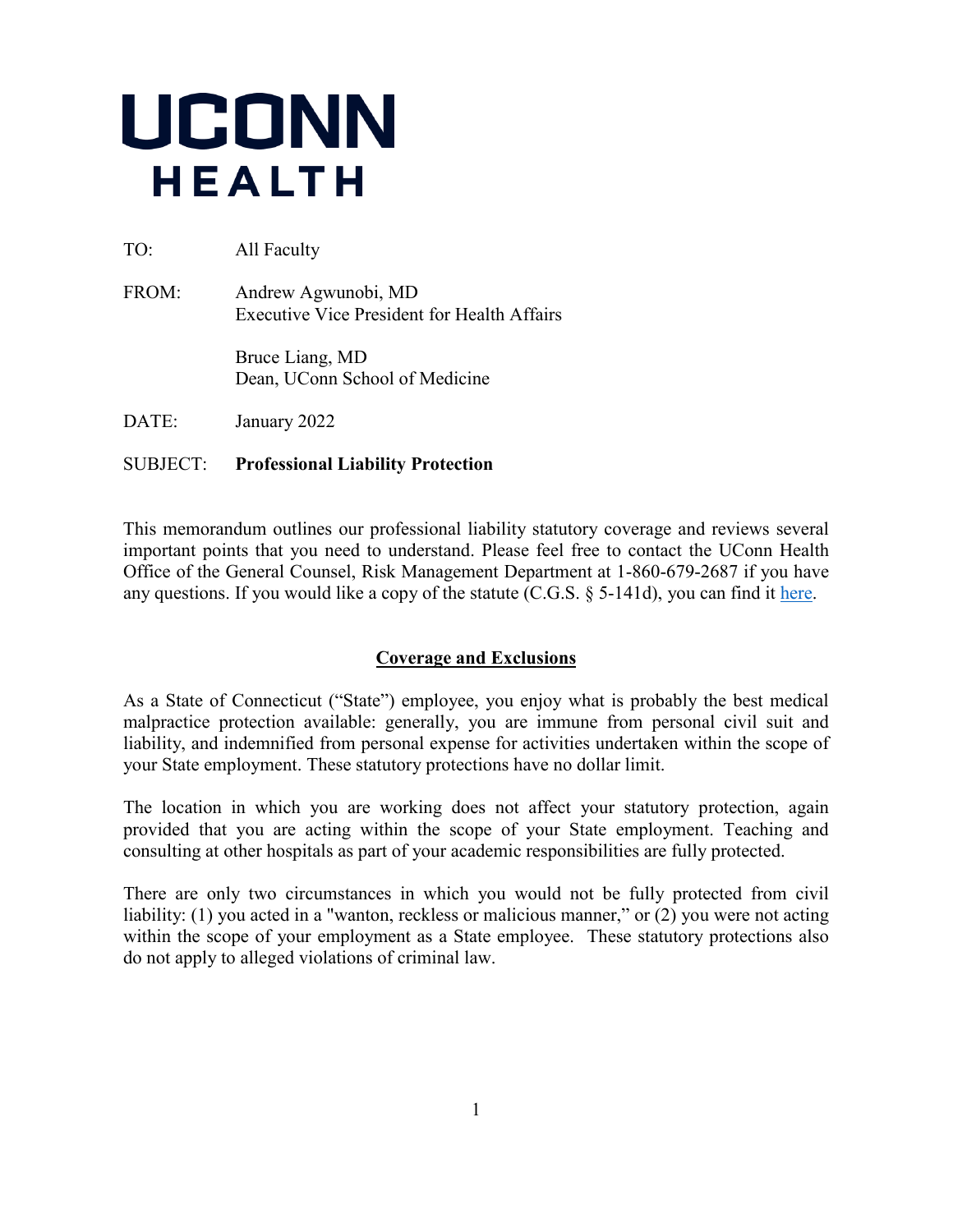

TO: All Faculty

FROM: Andrew Agwunobi, MD Executive Vice President for Health Affairs

> Bruce Liang, MD Dean, UConn School of Medicine

DATE: January 2022

# SUBJECT: **Professional Liability Protection**

This memorandum outlines our professional liability statutory coverage and reviews several important points that you need to understand. Please feel free to contact the UConn Health Office of the General Counsel, Risk Management Department at 1-860-679-2687 if you have any questions. If you would like a copy of the statute (C.G.S.  $\S$  5-141d), you can find it [here.](https://www.cga.ct.gov/current/pub/chap_064a.htm)

# **Coverage and Exclusions**

As a State of Connecticut ("State") employee, you enjoy what is probably the best medical malpractice protection available: generally, you are immune from personal civil suit and liability, and indemnified from personal expense for activities undertaken within the scope of your State employment. These statutory protections have no dollar limit.

The location in which you are working does not affect your statutory protection, again provided that you are acting within the scope of your State employment. Teaching and consulting at other hospitals as part of your academic responsibilities are fully protected.

There are only two circumstances in which you would not be fully protected from civil liability: (1) you acted in a "wanton, reckless or malicious manner," or (2) you were not acting within the scope of your employment as a State employee. These statutory protections also do not apply to alleged violations of criminal law.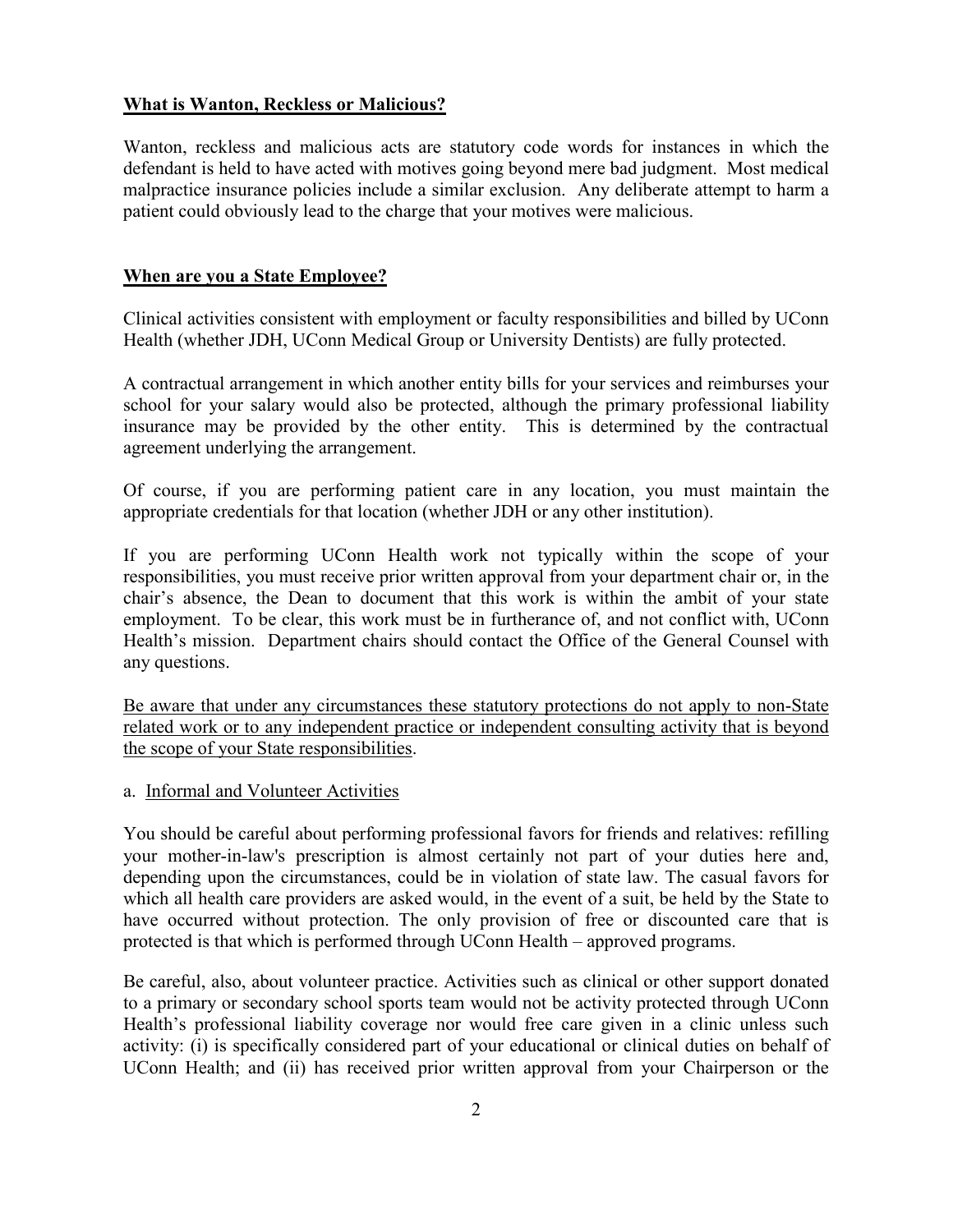## **What is Wanton, Reckless or Malicious?**

Wanton, reckless and malicious acts are statutory code words for instances in which the defendant is held to have acted with motives going beyond mere bad judgment. Most medical malpractice insurance policies include a similar exclusion. Any deliberate attempt to harm a patient could obviously lead to the charge that your motives were malicious.

### **When are you a State Employee?**

Clinical activities consistent with employment or faculty responsibilities and billed by UConn Health (whether JDH, UConn Medical Group or University Dentists) are fully protected.

A contractual arrangement in which another entity bills for your services and reimburses your school for your salary would also be protected, although the primary professional liability insurance may be provided by the other entity. This is determined by the contractual agreement underlying the arrangement.

Of course, if you are performing patient care in any location, you must maintain the appropriate credentials for that location (whether JDH or any other institution).

If you are performing UConn Health work not typically within the scope of your responsibilities, you must receive prior written approval from your department chair or, in the chair's absence, the Dean to document that this work is within the ambit of your state employment. To be clear, this work must be in furtherance of, and not conflict with, UConn Health's mission. Department chairs should contact the Office of the General Counsel with any questions.

Be aware that under any circumstances these statutory protections do not apply to non-State related work or to any independent practice or independent consulting activity that is beyond the scope of your State responsibilities.

#### a. Informal and Volunteer Activities

You should be careful about performing professional favors for friends and relatives: refilling your mother-in-law's prescription is almost certainly not part of your duties here and, depending upon the circumstances, could be in violation of state law. The casual favors for which all health care providers are asked would, in the event of a suit, be held by the State to have occurred without protection. The only provision of free or discounted care that is protected is that which is performed through UConn Health – approved programs.

Be careful, also, about volunteer practice. Activities such as clinical or other support donated to a primary or secondary school sports team would not be activity protected through UConn Health's professional liability coverage nor would free care given in a clinic unless such activity: (i) is specifically considered part of your educational or clinical duties on behalf of UConn Health; and (ii) has received prior written approval from your Chairperson or the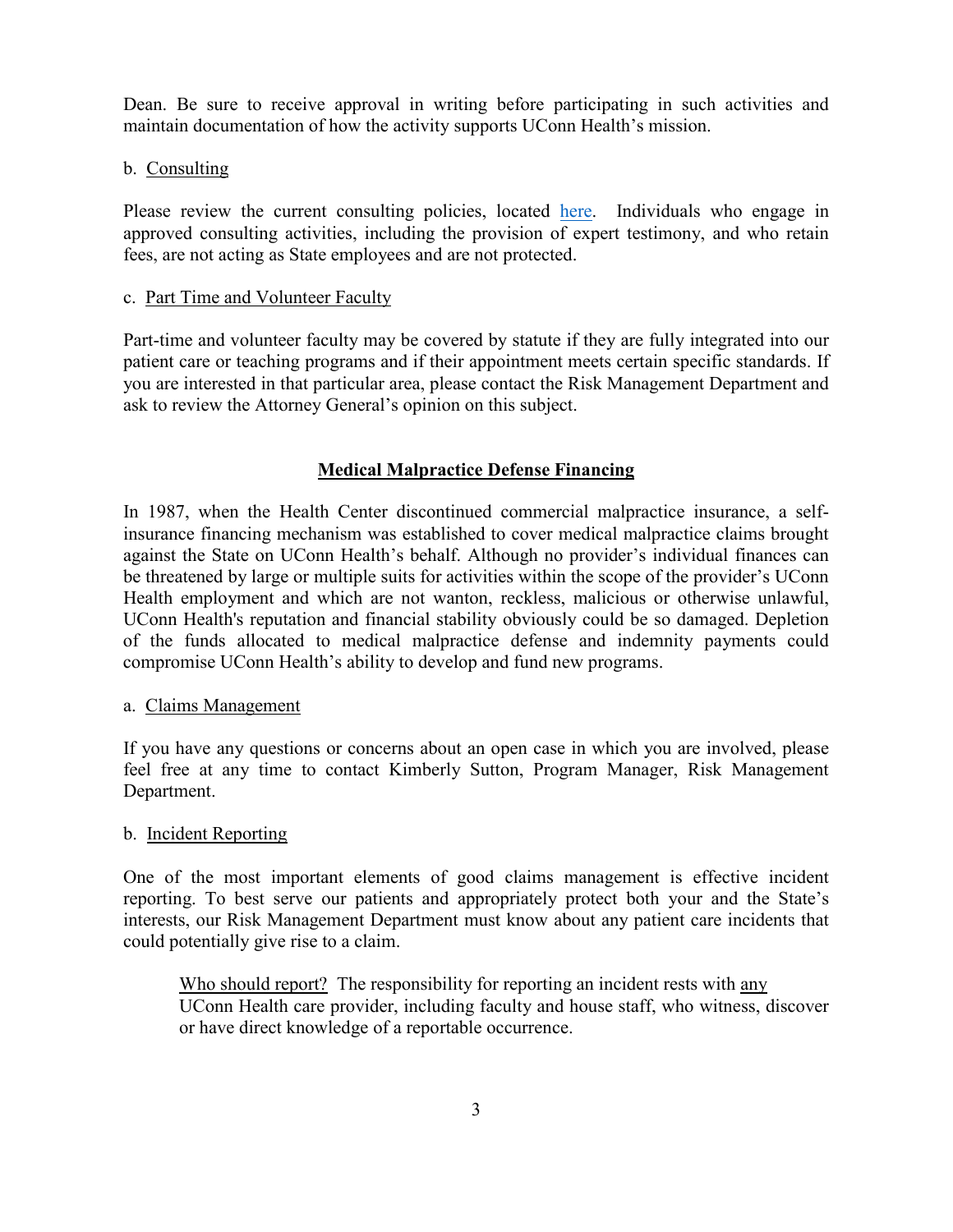Dean. Be sure to receive approval in writing before participating in such activities and maintain documentation of how the activity supports UConn Health's mission.

## b. Consulting

Please review the current consulting policies, located [here.](https://consulting.uconn.edu/) Individuals who engage in approved consulting activities, including the provision of expert testimony, and who retain fees, are not acting as State employees and are not protected.

## c. Part Time and Volunteer Faculty

Part-time and volunteer faculty may be covered by statute if they are fully integrated into our patient care or teaching programs and if their appointment meets certain specific standards. If you are interested in that particular area, please contact the Risk Management Department and ask to review the Attorney General's opinion on this subject.

## **Medical Malpractice Defense Financing**

In 1987, when the Health Center discontinued commercial malpractice insurance, a selfinsurance financing mechanism was established to cover medical malpractice claims brought against the State on UConn Health's behalf. Although no provider's individual finances can be threatened by large or multiple suits for activities within the scope of the provider's UConn Health employment and which are not wanton, reckless, malicious or otherwise unlawful, UConn Health's reputation and financial stability obviously could be so damaged. Depletion of the funds allocated to medical malpractice defense and indemnity payments could compromise UConn Health's ability to develop and fund new programs.

#### a. Claims Management

If you have any questions or concerns about an open case in which you are involved, please feel free at any time to contact Kimberly Sutton, Program Manager, Risk Management Department.

#### b. Incident Reporting

One of the most important elements of good claims management is effective incident reporting. To best serve our patients and appropriately protect both your and the State's interests, our Risk Management Department must know about any patient care incidents that could potentially give rise to a claim.

Who should report? The responsibility for reporting an incident rests with any UConn Health care provider, including faculty and house staff, who witness, discover or have direct knowledge of a reportable occurrence.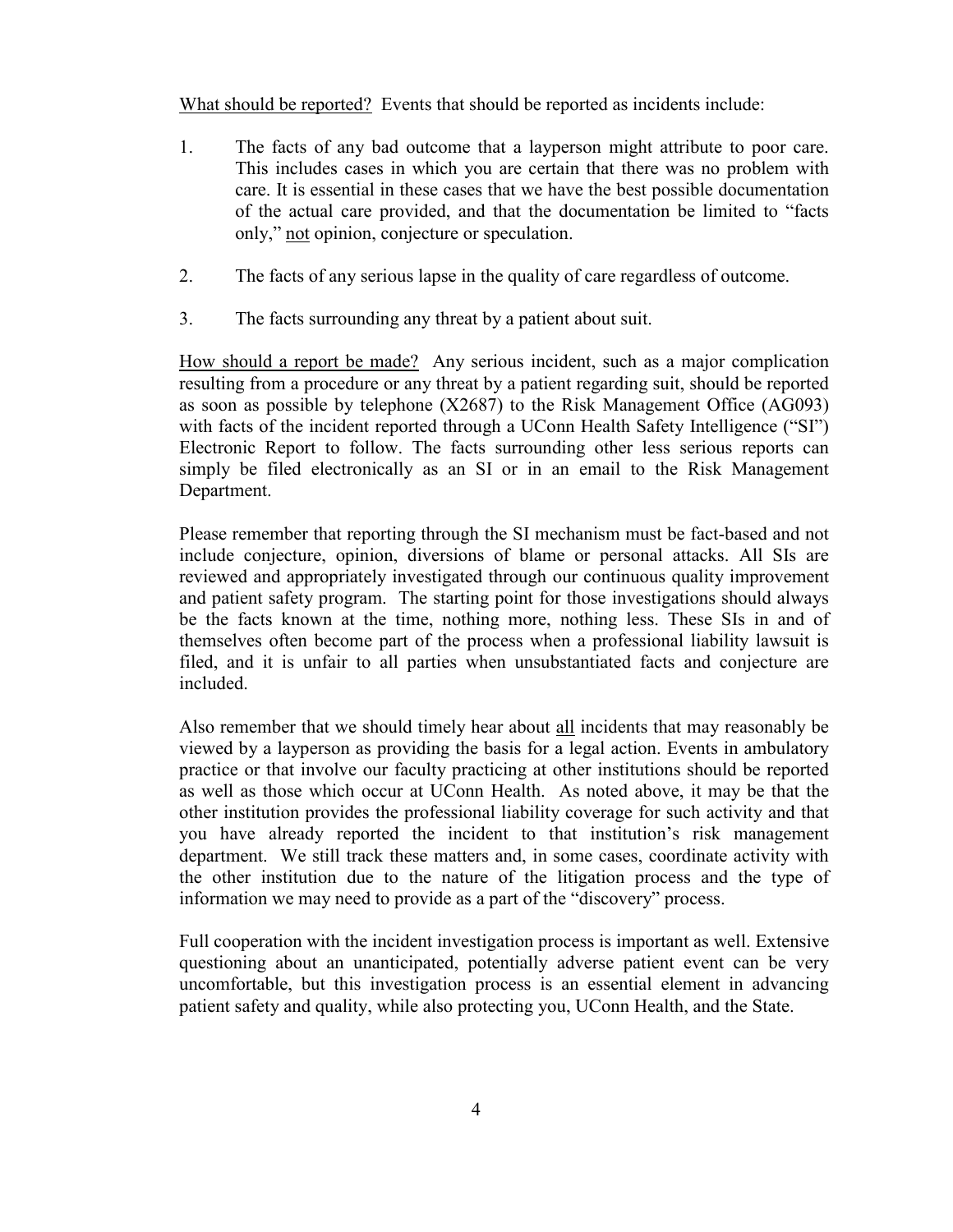What should be reported? Events that should be reported as incidents include:

- 1. The facts of any bad outcome that a layperson might attribute to poor care. This includes cases in which you are certain that there was no problem with care. It is essential in these cases that we have the best possible documentation of the actual care provided, and that the documentation be limited to "facts only," not opinion, conjecture or speculation.
- 2. The facts of any serious lapse in the quality of care regardless of outcome.
- 3. The facts surrounding any threat by a patient about suit.

How should a report be made? Any serious incident, such as a major complication resulting from a procedure or any threat by a patient regarding suit, should be reported as soon as possible by telephone (X2687) to the Risk Management Office (AG093) with facts of the incident reported through a UConn Health Safety Intelligence ("SI") Electronic Report to follow. The facts surrounding other less serious reports can simply be filed electronically as an SI or in an email to the Risk Management Department.

Please remember that reporting through the SI mechanism must be fact-based and not include conjecture, opinion, diversions of blame or personal attacks. All SIs are reviewed and appropriately investigated through our continuous quality improvement and patient safety program. The starting point for those investigations should always be the facts known at the time, nothing more, nothing less. These SIs in and of themselves often become part of the process when a professional liability lawsuit is filed, and it is unfair to all parties when unsubstantiated facts and conjecture are included.

Also remember that we should timely hear about all incidents that may reasonably be viewed by a layperson as providing the basis for a legal action. Events in ambulatory practice or that involve our faculty practicing at other institutions should be reported as well as those which occur at UConn Health. As noted above, it may be that the other institution provides the professional liability coverage for such activity and that you have already reported the incident to that institution's risk management department. We still track these matters and, in some cases, coordinate activity with the other institution due to the nature of the litigation process and the type of information we may need to provide as a part of the "discovery" process.

Full cooperation with the incident investigation process is important as well. Extensive questioning about an unanticipated, potentially adverse patient event can be very uncomfortable, but this investigation process is an essential element in advancing patient safety and quality, while also protecting you, UConn Health, and the State.